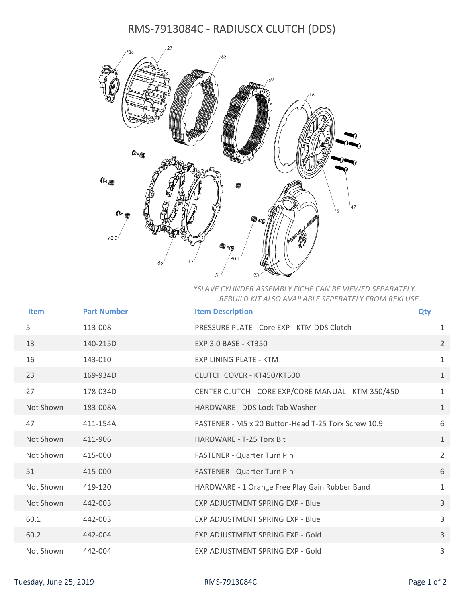## RMS-7913084C - RADIUSCX CLUTCH (DDS)



*\*SLAVE CYLINDER ASSEMBLY FICHE CAN BE VIEWED SEPARATELY. REBUILD KIT ALSO AVAILABLE SEPERATELY FROM REKLUSE.*

| <b>Item</b> | <b>Part Number</b> | <b>Item Description</b>                             | Qty            |
|-------------|--------------------|-----------------------------------------------------|----------------|
| 5           | 113-008            | PRESSURE PLATE - Core EXP - KTM DDS Clutch          | 1              |
| 13          | 140-215D           | EXP 3.0 BASE - KT350                                | $\overline{2}$ |
| 16          | 143-010            | <b>EXP LINING PLATE - KTM</b>                       | $\mathbf{1}$   |
| 23          | 169-934D           | CLUTCH COVER - KT450/KT500                          | $\mathbf{1}$   |
| 27          | 178-034D           | CENTER CLUTCH - CORE EXP/CORE MANUAL - KTM 350/450  | $\mathbf{1}$   |
| Not Shown   | 183-008A           | HARDWARE - DDS Lock Tab Washer                      | $\mathbf{1}$   |
| 47          | 411-154A           | FASTENER - M5 x 20 Button-Head T-25 Torx Screw 10.9 | 6              |
| Not Shown   | 411-906            | <b>HARDWARE - T-25 Torx Bit</b>                     | $\mathbf{1}$   |
| Not Shown   | 415-000            | FASTENER - Quarter Turn Pin                         | $\overline{2}$ |
| 51          | 415-000            | <b>FASTENER - Quarter Turn Pin</b>                  | 6              |
| Not Shown   | 419-120            | HARDWARE - 1 Orange Free Play Gain Rubber Band      | $\mathbf{1}$   |
| Not Shown   | 442-003            | EXP ADJUSTMENT SPRING EXP - Blue                    | $\mathbf{3}$   |
| 60.1        | 442-003            | <b>EXP ADJUSTMENT SPRING EXP - Blue</b>             | 3              |
| 60.2        | 442-004            | EXP ADJUSTMENT SPRING EXP - Gold                    | $\mathbf{3}$   |
| Not Shown   | 442-004            | EXP ADJUSTMENT SPRING EXP - Gold                    | 3              |